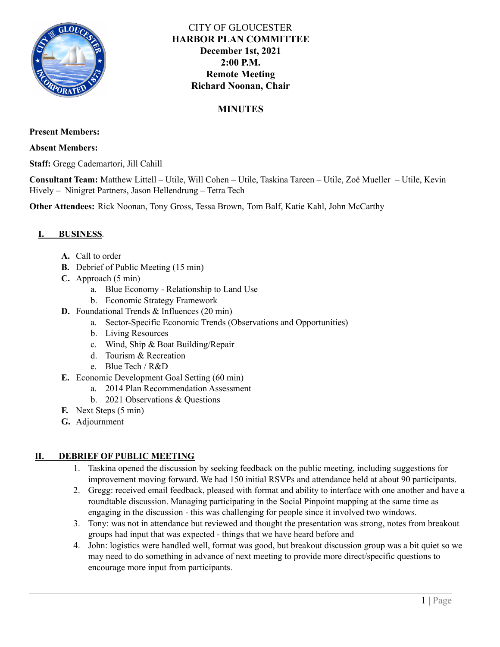

# CITY OF GLOUCESTER **HARBOR PLAN COMMITTEE December 1st, 2021 2:00 P.M. Remote Meeting Richard Noonan, Chair**

# **MINUTES**

**Present Members:**

**Absent Members:**

**Staff:** Gregg Cademartori, Jill Cahill

**Consultant Team:** Matthew Littell – Utile, Will Cohen – Utile, Taskina Tareen – Utile, Zoë Mueller – Utile, Kevin Hively – Ninigret Partners, Jason Hellendrung – Tetra Tech

**Other Attendees:** Rick Noonan, Tony Gross, Tessa Brown, Tom Balf, Katie Kahl, John McCarthy

## **I. BUSINESS***.*

- **A.** Call to order
- **B.** Debrief of Public Meeting (15 min)
- **C.** Approach (5 min)
	- a. Blue Economy Relationship to Land Use
	- b. Economic Strategy Framework
- **D.** Foundational Trends & Influences (20 min)
	- a. Sector-Specific Economic Trends (Observations and Opportunities)
	- b. Living Resources
	- c. Wind, Ship & Boat Building/Repair
	- d. Tourism & Recreation
	- e. Blue Tech / R&D
- **E.** Economic Development Goal Setting (60 min)
	- a. 2014 Plan Recommendation Assessment
	- b. 2021 Observations & Questions
- **F.** Next Steps (5 min)
- **G.** Adjournment

## **II. DEBRIEF OF PUBLIC MEETING**

- 1. Taskina opened the discussion by seeking feedback on the public meeting, including suggestions for improvement moving forward. We had 150 initial RSVPs and attendance held at about 90 participants.
- 2. Gregg: received email feedback, pleased with format and ability to interface with one another and have a roundtable discussion. Managing participating in the Social Pinpoint mapping at the same time as engaging in the discussion - this was challenging for people since it involved two windows.
- 3. Tony: was not in attendance but reviewed and thought the presentation was strong, notes from breakout groups had input that was expected - things that we have heard before and
- 4. John: logistics were handled well, format was good, but breakout discussion group was a bit quiet so we may need to do something in advance of next meeting to provide more direct/specific questions to encourage more input from participants.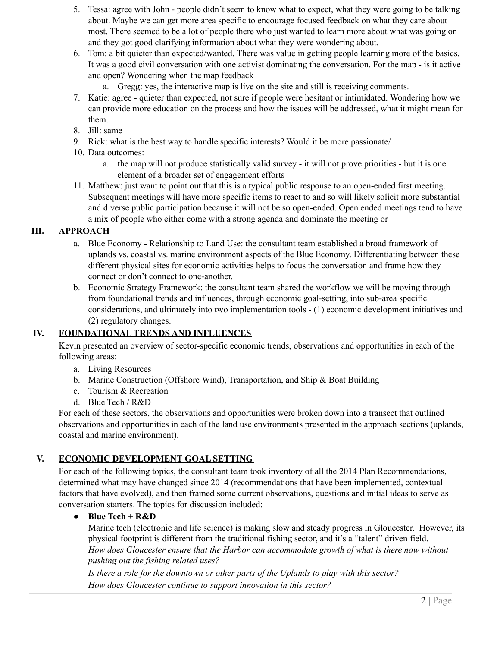- 5. Tessa: agree with John people didn't seem to know what to expect, what they were going to be talking about. Maybe we can get more area specific to encourage focused feedback on what they care about most. There seemed to be a lot of people there who just wanted to learn more about what was going on and they got good clarifying information about what they were wondering about.
- 6. Tom: a bit quieter than expected/wanted. There was value in getting people learning more of the basics. It was a good civil conversation with one activist dominating the conversation. For the map - is it active and open? Wondering when the map feedback
	- a. Gregg: yes, the interactive map is live on the site and still is receiving comments.
- 7. Katie: agree quieter than expected, not sure if people were hesitant or intimidated. Wondering how we can provide more education on the process and how the issues will be addressed, what it might mean for them.
- 8. Jill: same
- 9. Rick: what is the best way to handle specific interests? Would it be more passionate/
- 10. Data outcomes:
	- a. the map will not produce statistically valid survey it will not prove priorities but it is one element of a broader set of engagement efforts
- 11. Matthew: just want to point out that this is a typical public response to an open-ended first meeting. Subsequent meetings will have more specific items to react to and so will likely solicit more substantial and diverse public participation because it will not be so open-ended. Open ended meetings tend to have a mix of people who either come with a strong agenda and dominate the meeting or

## **III. APPROACH**

- a. Blue Economy Relationship to Land Use: the consultant team established a broad framework of uplands vs. coastal vs. marine environment aspects of the Blue Economy. Differentiating between these different physical sites for economic activities helps to focus the conversation and frame how they connect or don't connect to one-another.
- b. Economic Strategy Framework: the consultant team shared the workflow we will be moving through from foundational trends and influences, through economic goal-setting, into sub-area specific considerations, and ultimately into two implementation tools - (1) economic development initiatives and (2) regulatory changes.

## **IV. FOUNDATIONAL TRENDS AND INFLUENCES**

Kevin presented an overview of sector-specific economic trends, observations and opportunities in each of the following areas:

- a. Living Resources
- b. Marine Construction (Offshore Wind), Transportation, and Ship & Boat Building
- c. Tourism & Recreation
- d. Blue Tech / R&D

For each of these sectors, the observations and opportunities were broken down into a transect that outlined observations and opportunities in each of the land use environments presented in the approach sections (uplands, coastal and marine environment).

## **V. ECONOMIC DEVELOPMENT GOAL SETTING**

For each of the following topics, the consultant team took inventory of all the 2014 Plan Recommendations, determined what may have changed since 2014 (recommendations that have been implemented, contextual factors that have evolved), and then framed some current observations, questions and initial ideas to serve as conversation starters. The topics for discussion included:

## ● **Blue Tech + R&D**

Marine tech (electronic and life science) is making slow and steady progress in Gloucester. However, its physical footprint is different from the traditional fishing sector, and it's a "talent" driven field. *How does Gloucester ensure that the Harbor can accommodate growth of what is there now without pushing out the fishing related uses?*

*Is there a role for the downtown or other parts of the Uplands to play with this sector? How does Gloucester continue to support innovation in this sector?*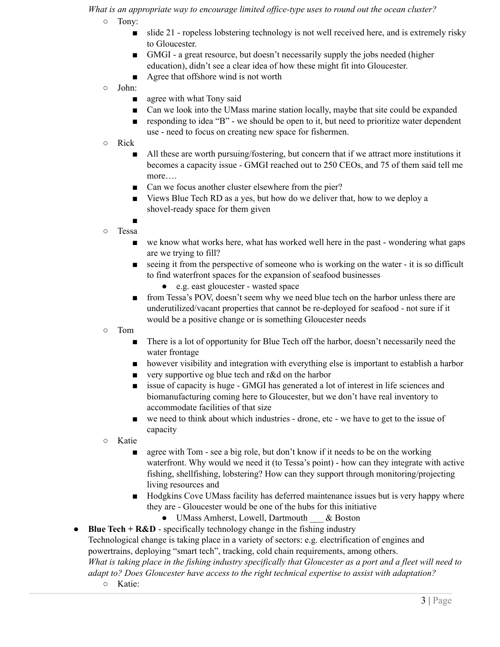*What is an appropriate way to encourage limited of ice-type uses to round out the ocean cluster?*

- Tony:
	- slide 21 ropeless lobstering technology is not well received here, and is extremely risky to Gloucester.
	- GMGI a great resource, but doesn't necessarily supply the jobs needed (higher education), didn't see a clear idea of how these might fit into Gloucester.
	- Agree that offshore wind is not worth
- John:
	- agree with what Tony said
	- Can we look into the UMass marine station locally, maybe that site could be expanded
	- responding to idea "B" we should be open to it, but need to prioritize water dependent use - need to focus on creating new space for fishermen.
- Rick
	- All these are worth pursuing/fostering, but concern that if we attract more institutions it becomes a capacity issue - GMGI reached out to 250 CEOs, and 75 of them said tell me more….
	- Can we focus another cluster elsewhere from the pier?
	- Views Blue Tech RD as a yes, but how do we deliver that, how to we deploy a shovel-ready space for them given
	- ■
- Tessa
	- we know what works here, what has worked well here in the past wondering what gaps are we trying to fill?
	- seeing it from the perspective of someone who is working on the water it is so difficult to find waterfront spaces for the expansion of seafood businesses
		- e.g. east gloucester wasted space
	- from Tessa's POV, doesn't seem why we need blue tech on the harbor unless there are underutilized/vacant properties that cannot be re-deployed for seafood - not sure if it would be a positive change or is something Gloucester needs
- Tom
	- There is a lot of opportunity for Blue Tech off the harbor, doesn't necessarily need the water frontage
	- however visibility and integration with everything else is important to establish a harbor
	- very supportive og blue tech and r&d on the harbor
	- issue of capacity is huge GMGI has generated a lot of interest in life sciences and biomanufacturing coming here to Gloucester, but we don't have real inventory to accommodate facilities of that size
	- we need to think about which industries drone, etc we have to get to the issue of capacity
- Katie
	- agree with Tom see a big role, but don't know if it needs to be on the working waterfront. Why would we need it (to Tessa's point) - how can they integrate with active fishing, shellfishing, lobstering? How can they support through monitoring/projecting living resources and
	- Hodgkins Cove UMass facility has deferred maintenance issues but is very happy where they are - Gloucester would be one of the hubs for this initiative
		- UMass Amherst, Lowell, Dartmouth & Boston
- **Blue Tech** +  $\mathbf{R\&D}$  specifically technology change in the fishing industry Technological change is taking place in a variety of sectors: e.g. electrification of engines and powertrains, deploying "smart tech", tracking, cold chain requirements, among others. What is taking place in the fishing industry specifically that Gloucester as a port and a fleet will need to *adapt to? Does Gloucester have access to the right technical expertise to assist with adaptation?*
	- Katie: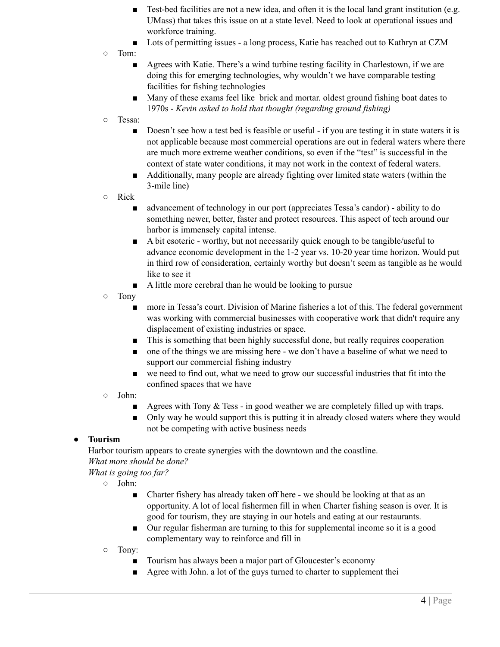- Test-bed facilities are not a new idea, and often it is the local land grant institution (e.g. UMass) that takes this issue on at a state level. Need to look at operational issues and workforce training.
- Lots of permitting issues a long process, Katie has reached out to Kathryn at CZM
- Tom:
	- Agrees with Katie. There's a wind turbine testing facility in Charlestown, if we are doing this for emerging technologies, why wouldn't we have comparable testing facilities for fishing technologies
	- Many of these exams feel like brick and mortar, oldest ground fishing boat dates to 1970s - *Kevin asked to hold that thought (regarding ground fishing)*
- Tessa:
	- Doesn't see how a test bed is feasible or useful if you are testing it in state waters it is not applicable because most commercial operations are out in federal waters where there are much more extreme weather conditions, so even if the "test" is successful in the context of state water conditions, it may not work in the context of federal waters.
	- Additionally, many people are already fighting over limited state waters (within the 3-mile line)
- Rick
	- advancement of technology in our port (appreciates Tessa's candor) ability to do something newer, better, faster and protect resources. This aspect of tech around our harbor is immensely capital intense.
	- A bit esoteric worthy, but not necessarily quick enough to be tangible/useful to advance economic development in the 1-2 year vs. 10-20 year time horizon. Would put in third row of consideration, certainly worthy but doesn't seem as tangible as he would like to see it
	- A little more cerebral than he would be looking to pursue
- Tony
	- more in Tessa's court. Division of Marine fisheries a lot of this. The federal government was working with commercial businesses with cooperative work that didn't require any displacement of existing industries or space.
	- This is something that been highly successful done, but really requires cooperation
	- one of the things we are missing here we don't have a baseline of what we need to support our commercial fishing industry
	- we need to find out, what we need to grow our successful industries that fit into the confined spaces that we have
- John:
	- Agrees with Tony & Tess in good weather we are completely filled up with traps.
	- Only way he would support this is putting it in already closed waters where they would not be competing with active business needs

#### ● **Tourism**

Harbor tourism appears to create synergies with the downtown and the coastline.

*What more should be done?*

*What is going too far?*

- John:
	- Charter fishery has already taken off here we should be looking at that as an opportunity. A lot of local fishermen fill in when Charter fishing season is over. It is good for tourism, they are staying in our hotels and eating at our restaurants.
	- Our regular fisherman are turning to this for supplemental income so it is a good complementary way to reinforce and fill in
- Tony:
	- Tourism has always been a major part of Gloucester's economy
	- Agree with John. a lot of the guys turned to charter to supplement their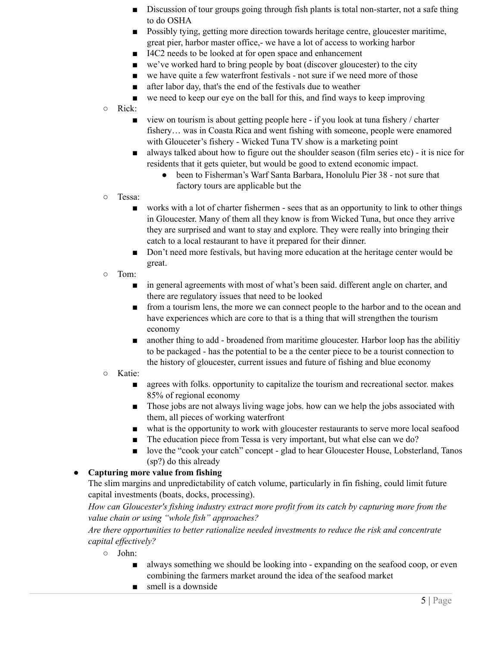- Discussion of tour groups going through fish plants is total non-starter, not a safe thing to do OSHA
- Possibly tying, getting more direction towards heritage centre, gloucester maritime, great pier, harbor master office,- we have a lot of access to working harbor
- I4C2 needs to be looked at for open space and enhancement
- we've worked hard to bring people by boat (discover gloucester) to the city
- we have quite a few waterfront festivals not sure if we need more of those
- after labor day, that's the end of the festivals due to weather
- we need to keep our eye on the ball for this, and find ways to keep improving
- Rick:
	- view on tourism is about getting people here if you look at tuna fishery / charter fishery… was in Coasta Rica and went fishing with someone, people were enamored with Glouceter's fishery - Wicked Tuna TV show is a marketing point
	- always talked about how to figure out the shoulder season (film series etc) it is nice for residents that it gets quieter, but would be good to extend economic impact.
		- been to Fisherman's Warf Santa Barbara, Honolulu Pier 38 not sure that factory tours are applicable but the
- Tessa:
	- works with a lot of charter fishermen sees that as an opportunity to link to other things in Gloucester. Many of them all they know is from Wicked Tuna, but once they arrive they are surprised and want to stay and explore. They were really into bringing their catch to a local restaurant to have it prepared for their dinner.
	- Don't need more festivals, but having more education at the heritage center would be great.
- Tom:
	- in general agreements with most of what's been said. different angle on charter, and there are regulatory issues that need to be looked
	- from a tourism lens, the more we can connect people to the harbor and to the ocean and have experiences which are core to that is a thing that will strengthen the tourism economy
	- another thing to add broadened from maritime gloucester. Harbor loop has the abilitiv to be packaged - has the potential to be a the center piece to be a tourist connection to the history of gloucester, current issues and future of fishing and blue economy
- Katie:
	- agrees with folks, opportunity to capitalize the tourism and recreational sector, makes 85% of regional economy
	- Those jobs are not always living wage jobs, how can we help the jobs associated with them, all pieces of working waterfront
	- what is the opportunity to work with gloucester restaurants to serve more local seafood
	- The education piece from Tessa is very important, but what else can we do?
	- love the "cook your catch" concept glad to hear Gloucester House, Lobsterland, Tanos (sp?) do this already

## ● **Capturing more value from fishing**

The slim margins and unpredictability of catch volume, particularly in fin fishing, could limit future capital investments (boats, docks, processing).

*How can Gloucester's fishing industry extract more profit from its catch by capturing more from the value chain or using "whole fish" approaches?*

*Are there opportunities to better rationalize needed investments to reduce the risk and concentrate capital ef ectively?*

- John:
	- always something we should be looking into expanding on the seafood coop, or even combining the farmers market around the idea of the seafood market
	- smell is a downside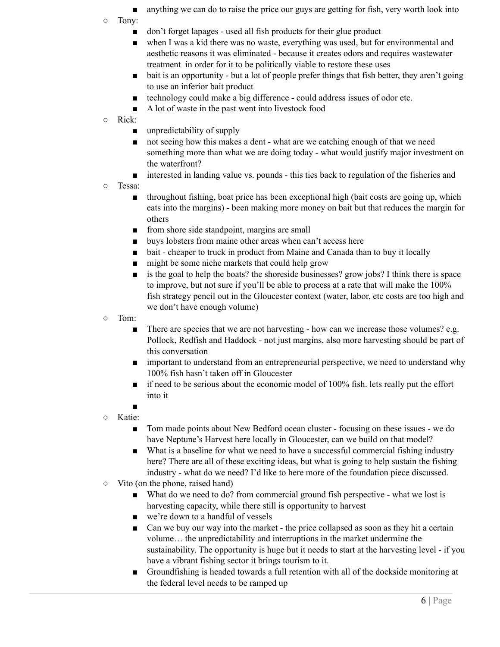- anything we can do to raise the price our guys are getting for fish, very worth look into
- Tony:
	- don't forget lapages used all fish products for their glue product
	- when I was a kid there was no waste, everything was used, but for environmental and aesthetic reasons it was eliminated - because it creates odors and requires wastewater treatment in order for it to be politically viable to restore these uses
	- bait is an opportunity but a lot of people prefer things that fish better, they aren't going to use an inferior bait product
	- technology could make a big difference could address issues of odor etc.
	- A lot of waste in the past went into livestock food
- Rick:
	- unpredictability of supply
	- not seeing how this makes a dent what are we catching enough of that we need something more than what we are doing today - what would justify major investment on the waterfront?
	- interested in landing value vs. pounds this ties back to regulation of the fisheries and
- Tessa:
	- throughout fishing, boat price has been exceptional high (bait costs are going up, which eats into the margins) - been making more money on bait but that reduces the margin for others
	- from shore side standpoint, margins are small
	- buys lobsters from maine other areas when can't access here
	- bait cheaper to truck in product from Maine and Canada than to buy it locally
	- might be some niche markets that could help grow
	- is the goal to help the boats? the shoreside businesses? grow jobs? I think there is space to improve, but not sure if you'll be able to process at a rate that will make the 100% fish strategy pencil out in the Gloucester context (water, labor, etc costs are too high and we don't have enough volume)
- Tom:
	- There are species that we are not harvesting how can we increase those volumes? e.g. Pollock, Redfish and Haddock - not just margins, also more harvesting should be part of this conversation
	- important to understand from an entrepreneurial perspective, we need to understand why 100% fish hasn't taken off in Gloucester
	- if need to be serious about the economic model of 100% fish. lets really put the effort into it
	- ■
- Katie:
	- Tom made points about New Bedford ocean cluster focusing on these issues we do have Neptune's Harvest here locally in Gloucester, can we build on that model?
	- What is a baseline for what we need to have a successful commercial fishing industry here? There are all of these exciting ideas, but what is going to help sustain the fishing industry - what do we need? I'd like to here more of the foundation piece discussed.
- Vito (on the phone, raised hand)
	- What do we need to do? from commercial ground fish perspective what we lost is harvesting capacity, while there still is opportunity to harvest
	- we're down to a handful of vessels
	- Can we buy our way into the market the price collapsed as soon as they hit a certain volume… the unpredictability and interruptions in the market undermine the sustainability. The opportunity is huge but it needs to start at the harvesting level - if you have a vibrant fishing sector it brings tourism to it.
	- Groundfishing is headed towards a full retention with all of the dockside monitoring at the federal level needs to be ramped up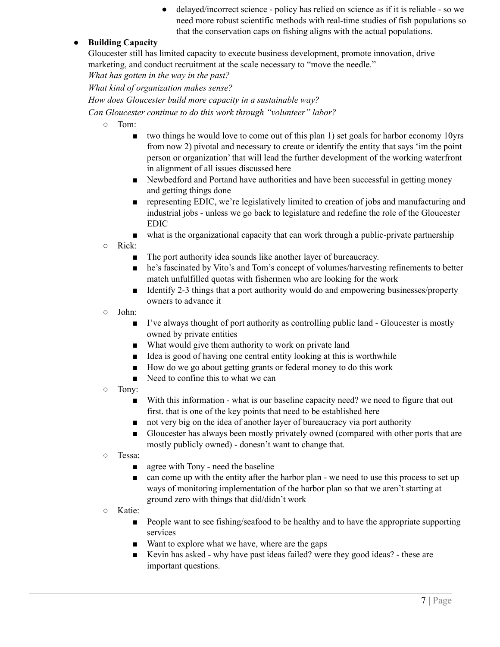delayed/incorrect science - policy has relied on science as if it is reliable - so we need more robust scientific methods with real-time studies of fish populations so that the conservation caps on fishing aligns with the actual populations.

## ● **Building Capacity**

Gloucester still has limited capacity to execute business development, promote innovation, drive marketing, and conduct recruitment at the scale necessary to "move the needle."

*What has gotten in the way in the past?*

*What kind of organization makes sense?*

*How does Gloucester build more capacity in a sustainable way?*

*Can Gloucester continue to do this work through "volunteer" labor?*

- Tom:
	- two things he would love to come out of this plan 1) set goals for harbor economy 10yrs from now 2) pivotal and necessary to create or identify the entity that says 'im the point person or organization' that will lead the further development of the working waterfront in alignment of all issues discussed here
	- Newbedford and Portand have authorities and have been successful in getting money and getting things done
	- representing EDIC, we're legislatively limited to creation of jobs and manufacturing and industrial jobs - unless we go back to legislature and redefine the role of the Gloucester EDIC

■ what is the organizational capacity that can work through a public-private partnership

○ Rick:

- The port authority idea sounds like another layer of bureaucracy.
- he's fascinated by Vito's and Tom's concept of volumes/harvesting refinements to better match unfulfilled quotas with fishermen who are looking for the work
- Identify 2-3 things that a port authority would do and empowering businesses/property owners to advance it
- John:
	- I've always thought of port authority as controlling public land Gloucester is mostly owned by private entities
	- What would give them authority to work on private land
	- Idea is good of having one central entity looking at this is worthwhile
	- How do we go about getting grants or federal money to do this work
	- Need to confine this to what we can
- Tony:
	- With this information what is our baseline capacity need? we need to figure that out first. that is one of the key points that need to be established here
	- not very big on the idea of another layer of bureaucracy via port authority
	- Gloucester has always been mostly privately owned (compared with other ports that are mostly publicly owned) - donesn't want to change that.
- Tessa:
	- agree with Tony need the baseline
	- can come up with the entity after the harbor plan we need to use this process to set up ways of monitoring implementation of the harbor plan so that we aren't starting at ground zero with things that did/didn't work
- Katie:
	- People want to see fishing/seafood to be healthy and to have the appropriate supporting services
	- Want to explore what we have, where are the gaps
	- Kevin has asked why have past ideas failed? were they good ideas? these are important questions.